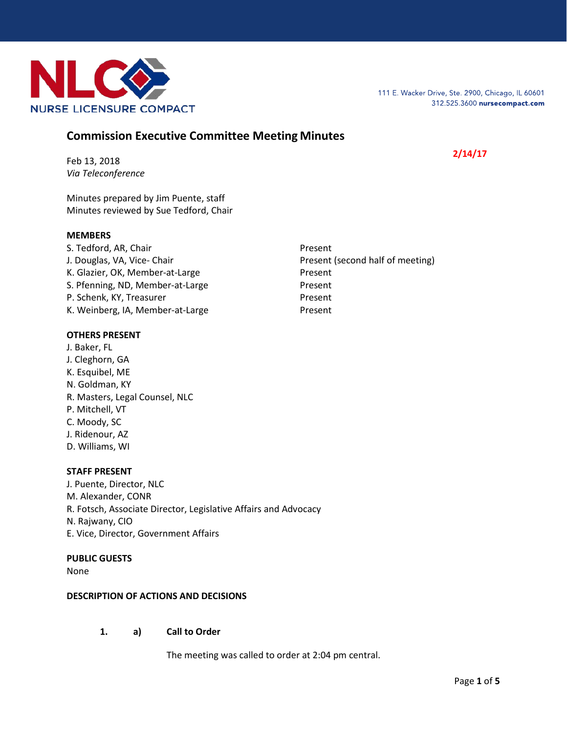

# **Commission Executive Committee Meeting Minutes**

# **2/14/17**

Feb 13, 2018 *Via Teleconference*

Minutes prepared by Jim Puente, staff Minutes reviewed by Sue Tedford, Chair

#### **MEMBERS**

S. Tedford, AR, Chair Present J. Douglas, VA, Vice- Chair **Present (second half of meeting)** Present (second half of meeting) K. Glazier, OK, Member-at-Large Present S. Pfenning, ND, Member-at-Large Present P. Schenk, KY, Treasurer Present K. Weinberg, IA, Member-at-Large Present

## **OTHERS PRESENT**

J. Baker, FL J. Cleghorn, GA K. Esquibel, ME N. Goldman, KY R. Masters, Legal Counsel, NLC P. Mitchell, VT C. Moody, SC J. Ridenour, AZ D. Williams, WI

## **STAFF PRESENT**

J. Puente, Director, NLC M. Alexander, CONR R. Fotsch, Associate Director, Legislative Affairs and Advocacy N. Rajwany, CIO E. Vice, Director, Government Affairs

#### **PUBLIC GUESTS**

None

## **DESCRIPTION OF ACTIONS AND DECISIONS**

**1. a) Call to Order**

The meeting was called to order at 2:04 pm central.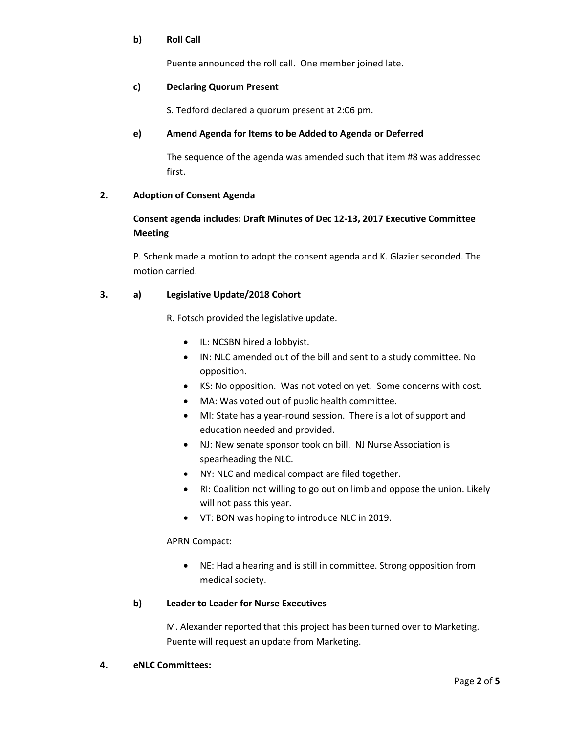## **b) Roll Call**

Puente announced the roll call. One member joined late.

## **c) Declaring Quorum Present**

S. Tedford declared a quorum present at 2:06 pm.

# **e) Amend Agenda for Items to be Added to Agenda or Deferred**

The sequence of the agenda was amended such that item #8 was addressed first.

# **2. Adoption of Consent Agenda**

# **Consent agenda includes: Draft Minutes of Dec 12-13, 2017 Executive Committee Meeting**

P. Schenk made a motion to adopt the consent agenda and K. Glazier seconded. The motion carried.

# **3. a) Legislative Update/2018 Cohort**

R. Fotsch provided the legislative update.

- IL: NCSBN hired a lobbyist.
- IN: NLC amended out of the bill and sent to a study committee. No opposition.
- KS: No opposition. Was not voted on yet. Some concerns with cost.
- MA: Was voted out of public health committee.
- MI: State has a year-round session. There is a lot of support and education needed and provided.
- NJ: New senate sponsor took on bill. NJ Nurse Association is spearheading the NLC.
- NY: NLC and medical compact are filed together.
- RI: Coalition not willing to go out on limb and oppose the union. Likely will not pass this year.
- VT: BON was hoping to introduce NLC in 2019.

## APRN Compact:

• NE: Had a hearing and is still in committee. Strong opposition from medical society.

## **b) Leader to Leader for Nurse Executives**

M. Alexander reported that this project has been turned over to Marketing. Puente will request an update from Marketing.

## **4. eNLC Committees:**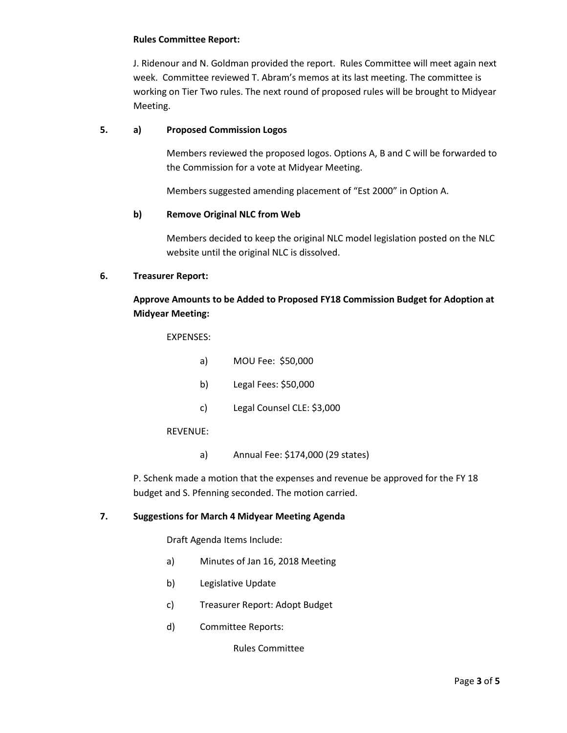#### **Rules Committee Report:**

J. Ridenour and N. Goldman provided the report. Rules Committee will meet again next week. Committee reviewed T. Abram's memos at its last meeting. The committee is working on Tier Two rules. The next round of proposed rules will be brought to Midyear Meeting.

### **5. a) Proposed Commission Logos**

Members reviewed the proposed logos. Options A, B and C will be forwarded to the Commission for a vote at Midyear Meeting.

Members suggested amending placement of "Est 2000" in Option A.

## **b) Remove Original NLC from Web**

Members decided to keep the original NLC model legislation posted on the NLC website until the original NLC is dissolved.

#### **6. Treasurer Report:**

# **Approve Amounts to be Added to Proposed FY18 Commission Budget for Adoption at Midyear Meeting:**

EXPENSES:

- a) MOU Fee: \$50,000
- b) Legal Fees: \$50,000
- c) Legal Counsel CLE: \$3,000

## REVENUE:

a) Annual Fee: \$174,000 (29 states)

P. Schenk made a motion that the expenses and revenue be approved for the FY 18 budget and S. Pfenning seconded. The motion carried.

## **7. Suggestions for March 4 Midyear Meeting Agenda**

Draft Agenda Items Include:

- a) Minutes of Jan 16, 2018 Meeting
- b) Legislative Update
- c) Treasurer Report: Adopt Budget
- d) Committee Reports:

Rules Committee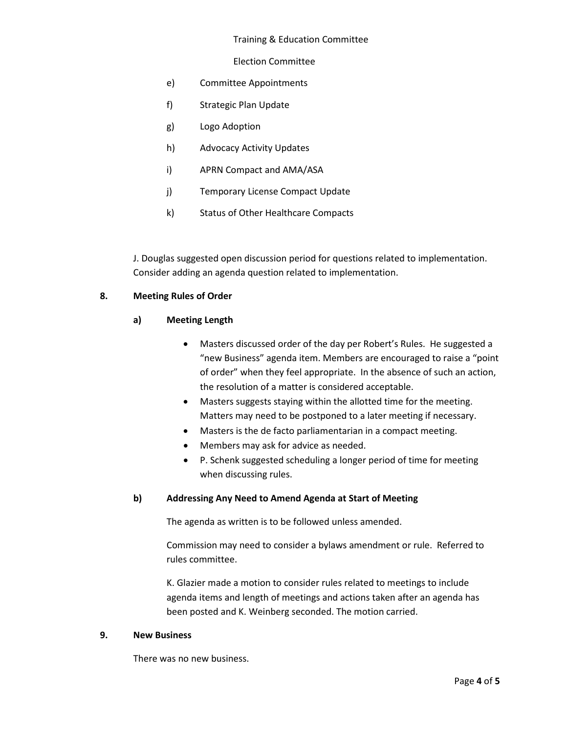#### Training & Education Committee

#### Election Committee

- e) Committee Appointments
- f) Strategic Plan Update
- g) Logo Adoption
- h) Advocacy Activity Updates
- i) APRN Compact and AMA/ASA
- j) Temporary License Compact Update
- k) Status of Other Healthcare Compacts

J. Douglas suggested open discussion period for questions related to implementation. Consider adding an agenda question related to implementation.

# **8. Meeting Rules of Order**

## **a) Meeting Length**

- Masters discussed order of the day per Robert's Rules. He suggested a "new Business" agenda item. Members are encouraged to raise a "point of order" when they feel appropriate. In the absence of such an action, the resolution of a matter is considered acceptable.
- Masters suggests staying within the allotted time for the meeting. Matters may need to be postponed to a later meeting if necessary.
- Masters is the de facto parliamentarian in a compact meeting.
- Members may ask for advice as needed.
- P. Schenk suggested scheduling a longer period of time for meeting when discussing rules.

## **b) Addressing Any Need to Amend Agenda at Start of Meeting**

The agenda as written is to be followed unless amended.

Commission may need to consider a bylaws amendment or rule. Referred to rules committee.

K. Glazier made a motion to consider rules related to meetings to include agenda items and length of meetings and actions taken after an agenda has been posted and K. Weinberg seconded. The motion carried.

#### **9. New Business**

There was no new business.